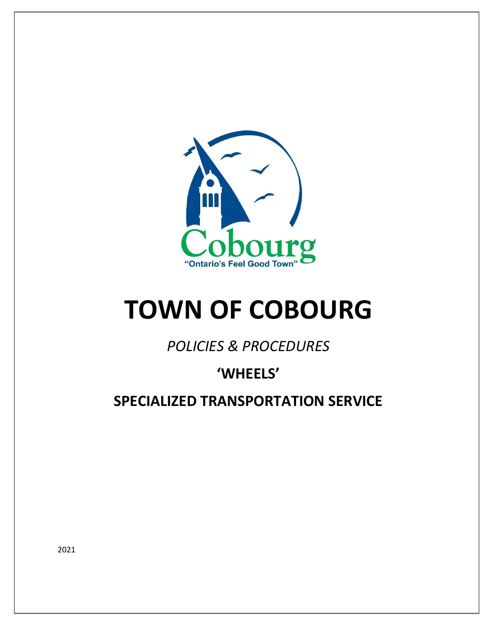

# **TOWN OF COBOURG**

*POLICIES & PROCEDURES*

# **'WHEELS'**

**SPECIALIZED TRANSPORTATION SERVICE**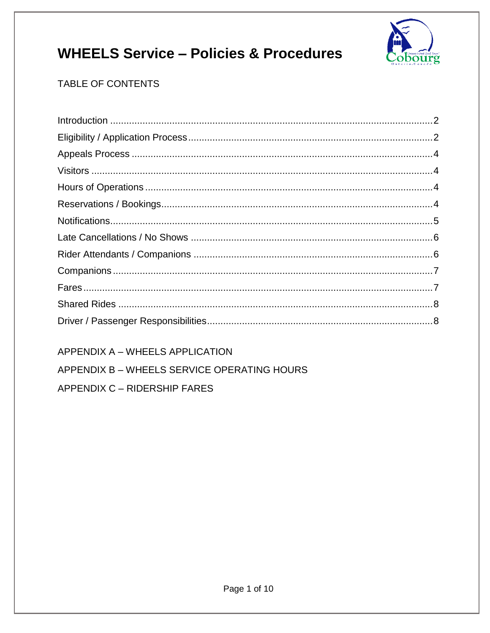

### TABLE OF CONTENTS

APPENDIX A - WHEELS APPLICATION

APPENDIX B - WHEELS SERVICE OPERATING HOURS

APPENDIX C - RIDERSHIP FARES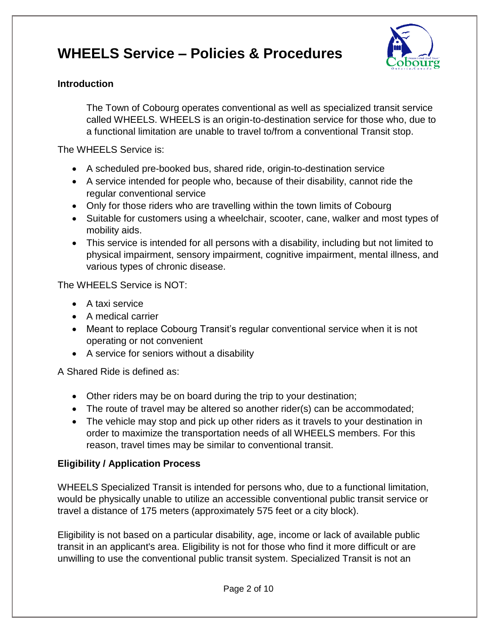

#### <span id="page-2-0"></span>**Introduction**

The Town of Cobourg operates conventional as well as specialized transit service called WHEELS. WHEELS is an origin-to-destination service for those who, due to a functional limitation are unable to travel to/from a conventional Transit stop.

The WHEELS Service is:

- A scheduled pre-booked bus, shared ride, origin-to-destination service
- A service intended for people who, because of their disability, cannot ride the regular conventional service
- Only for those riders who are travelling within the town limits of Cobourg
- Suitable for customers using a wheelchair, scooter, cane, walker and most types of mobility aids.
- This service is intended for all persons with a disability, including but not limited to physical impairment, sensory impairment, cognitive impairment, mental illness, and various types of chronic disease.

The WHEELS Service is NOT:

- A taxi service
- A medical carrier
- Meant to replace Cobourg Transit's regular conventional service when it is not operating or not convenient
- A service for seniors without a disability

A Shared Ride is defined as:

- Other riders may be on board during the trip to your destination;
- The route of travel may be altered so another rider(s) can be accommodated;
- The vehicle may stop and pick up other riders as it travels to your destination in order to maximize the transportation needs of all WHEELS members. For this reason, travel times may be similar to conventional transit.

### <span id="page-2-1"></span>**Eligibility / Application Process**

WHEELS Specialized Transit is intended for persons who, due to a functional limitation, would be physically unable to utilize an accessible conventional public transit service or travel a distance of 175 meters (approximately 575 feet or a city block).

Eligibility is not based on a particular disability, age, income or lack of available public transit in an applicant's area. Eligibility is not for those who find it more difficult or are unwilling to use the conventional public transit system. Specialized Transit is not an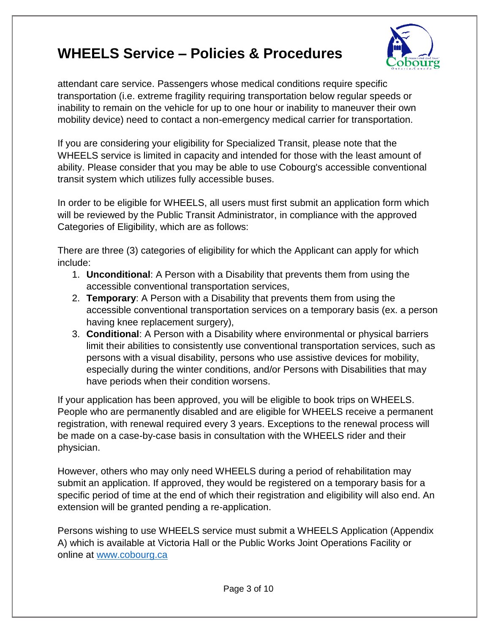

attendant care service. Passengers whose medical conditions require specific transportation (i.e. extreme fragility requiring transportation below regular speeds or inability to remain on the vehicle for up to one hour or inability to maneuver their own mobility device) need to contact a non-emergency medical carrier for transportation.

If you are considering your eligibility for Specialized Transit, please note that the WHEELS service is limited in capacity and intended for those with the least amount of ability. Please consider that you may be able to use Cobourg's accessible conventional transit system which utilizes fully accessible buses.

In order to be eligible for WHEELS, all users must first submit an application form which will be reviewed by the Public Transit Administrator, in compliance with the approved Categories of Eligibility, which are as follows:

There are three (3) categories of eligibility for which the Applicant can apply for which include:

- 1. **Unconditional**: A Person with a Disability that prevents them from using the accessible conventional transportation services,
- 2. **Temporary**: A Person with a Disability that prevents them from using the accessible conventional transportation services on a temporary basis (ex. a person having knee replacement surgery),
- 3. **Conditional**: A Person with a Disability where environmental or physical barriers limit their abilities to consistently use conventional transportation services, such as persons with a visual disability, persons who use assistive devices for mobility, especially during the winter conditions, and/or Persons with Disabilities that may have periods when their condition worsens.

If your application has been approved, you will be eligible to book trips on WHEELS. People who are permanently disabled and are eligible for WHEELS receive a permanent registration, with renewal required every 3 years. Exceptions to the renewal process will be made on a case-by-case basis in consultation with the WHEELS rider and their physician.

However, others who may only need WHEELS during a period of rehabilitation may submit an application. If approved, they would be registered on a temporary basis for a specific period of time at the end of which their registration and eligibility will also end. An extension will be granted pending a re-application.

Persons wishing to use WHEELS service must submit a WHEELS Application (Appendix A) which is available at Victoria Hall or the Public Works Joint Operations Facility or online at [www.cobourg.ca](http://www.cobourg.ca/)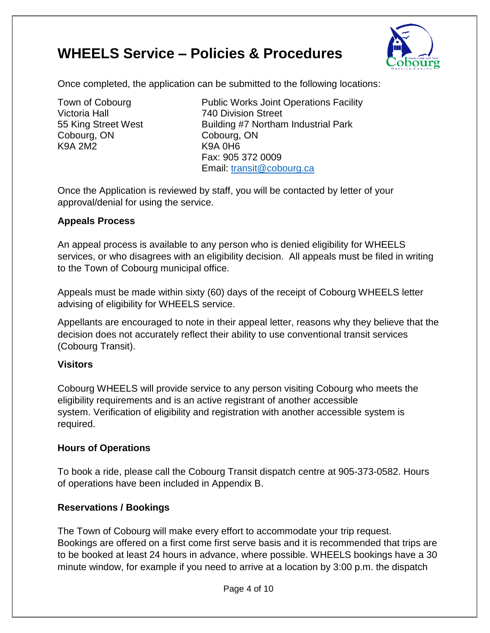

Once completed, the application can be submitted to the following locations:

Victoria Hall 740 Division Street Cobourg, ON Cobourg, ON K9A 2M2 K9A 0H6

Town of Cobourg **Public Works Joint Operations Facility** 55 King Street West **Building #7 Northam Industrial Park** Fax: 905 372 0009 Email: [transit@cobourg.ca](mailto:transit@cobourg.ca)

Once the Application is reviewed by staff, you will be contacted by letter of your approval/denial for using the service.

### <span id="page-4-0"></span>**Appeals Process**

An appeal process is available to any person who is denied eligibility for WHEELS services, or who disagrees with an eligibility decision. All appeals must be filed in writing to the Town of Cobourg municipal office.

Appeals must be made within sixty (60) days of the receipt of Cobourg WHEELS letter advising of eligibility for WHEELS service.

Appellants are encouraged to note in their appeal letter, reasons why they believe that the decision does not accurately reflect their ability to use conventional transit services (Cobourg Transit).

### <span id="page-4-1"></span>**Visitors**

Cobourg WHEELS will provide service to any person visiting Cobourg who meets the eligibility requirements and is an active registrant of another accessible system. Verification of eligibility and registration with another accessible system is required.

#### <span id="page-4-2"></span>**Hours of Operations**

To book a ride, please call the Cobourg Transit dispatch centre at 905-373-0582. Hours of operations have been included in Appendix B.

### <span id="page-4-3"></span>**Reservations / Bookings**

The Town of Cobourg will make every effort to accommodate your trip request. Bookings are offered on a first come first serve basis and it is recommended that trips are to be booked at least 24 hours in advance, where possible. WHEELS bookings have a 30 minute window, for example if you need to arrive at a location by 3:00 p.m. the dispatch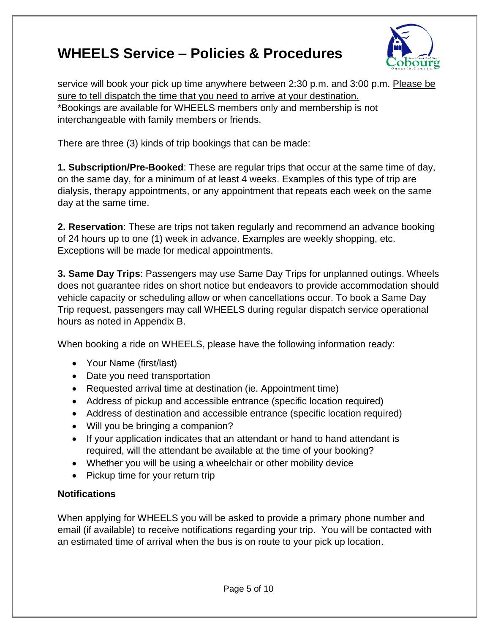

service will book your pick up time anywhere between 2:30 p.m. and 3:00 p.m. Please be sure to tell dispatch the time that you need to arrive at your destination. \*Bookings are available for WHEELS members only and membership is not interchangeable with family members or friends.

There are three (3) kinds of trip bookings that can be made:

**1. Subscription/Pre-Booked**: These are regular trips that occur at the same time of day, on the same day, for a minimum of at least 4 weeks. Examples of this type of trip are dialysis, therapy appointments, or any appointment that repeats each week on the same day at the same time.

**2. Reservation**: These are trips not taken regularly and recommend an advance booking of 24 hours up to one (1) week in advance. Examples are weekly shopping, etc. Exceptions will be made for medical appointments.

**3. Same Day Trips**: Passengers may use Same Day Trips for unplanned outings. Wheels does not guarantee rides on short notice but endeavors to provide accommodation should vehicle capacity or scheduling allow or when cancellations occur. To book a Same Day Trip request, passengers may call WHEELS during regular dispatch service operational hours as noted in Appendix B.

When booking a ride on WHEELS, please have the following information ready:

- Your Name (first/last)
- Date you need transportation
- Requested arrival time at destination (ie. Appointment time)
- Address of pickup and accessible entrance (specific location required)
- Address of destination and accessible entrance (specific location required)
- Will you be bringing a companion?
- If your application indicates that an attendant or hand to hand attendant is required, will the attendant be available at the time of your booking?
- Whether you will be using a wheelchair or other mobility device
- Pickup time for your return trip

#### <span id="page-5-0"></span>**Notifications**

When applying for WHEELS you will be asked to provide a primary phone number and email (if available) to receive notifications regarding your trip. You will be contacted with an estimated time of arrival when the bus is on route to your pick up location.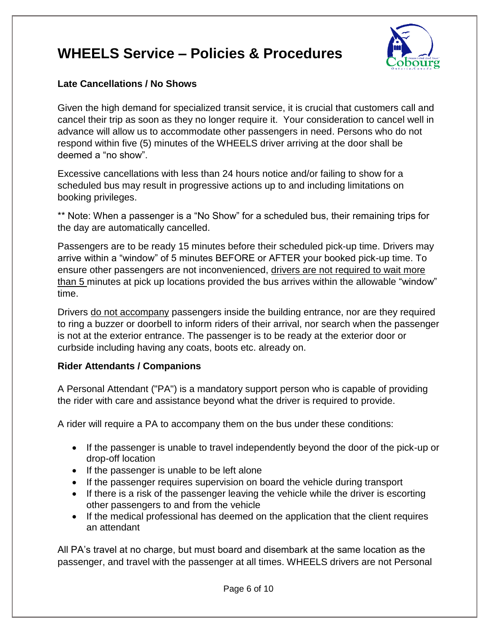

#### <span id="page-6-0"></span>**Late Cancellations / No Shows**

Given the high demand for specialized transit service, it is crucial that customers call and cancel their trip as soon as they no longer require it. Your consideration to cancel well in advance will allow us to accommodate other passengers in need. Persons who do not respond within five (5) minutes of the WHEELS driver arriving at the door shall be deemed a "no show".

Excessive cancellations with less than 24 hours notice and/or failing to show for a scheduled bus may result in progressive actions up to and including limitations on booking privileges.

\*\* Note: When a passenger is a "No Show" for a scheduled bus, their remaining trips for the day are automatically cancelled.

Passengers are to be ready 15 minutes before their scheduled pick-up time. Drivers may arrive within a "window" of 5 minutes BEFORE or AFTER your booked pick-up time. To ensure other passengers are not inconvenienced, drivers are not required to wait more than 5 minutes at pick up locations provided the bus arrives within the allowable "window" time.

Drivers do not accompany passengers inside the building entrance, nor are they required to ring a buzzer or doorbell to inform riders of their arrival, nor search when the passenger is not at the exterior entrance. The passenger is to be ready at the exterior door or curbside including having any coats, boots etc. already on.

### <span id="page-6-1"></span>**Rider Attendants / Companions**

A Personal Attendant ("PA") is a mandatory support person who is capable of providing the rider with care and assistance beyond what the driver is required to provide.

A rider will require a PA to accompany them on the bus under these conditions:

- If the passenger is unable to travel independently beyond the door of the pick-up or drop-off location
- If the passenger is unable to be left alone
- If the passenger requires supervision on board the vehicle during transport
- If there is a risk of the passenger leaving the vehicle while the driver is escorting other passengers to and from the vehicle
- If the medical professional has deemed on the application that the client requires an attendant

All PA's travel at no charge, but must board and disembark at the same location as the passenger, and travel with the passenger at all times. WHEELS drivers are not Personal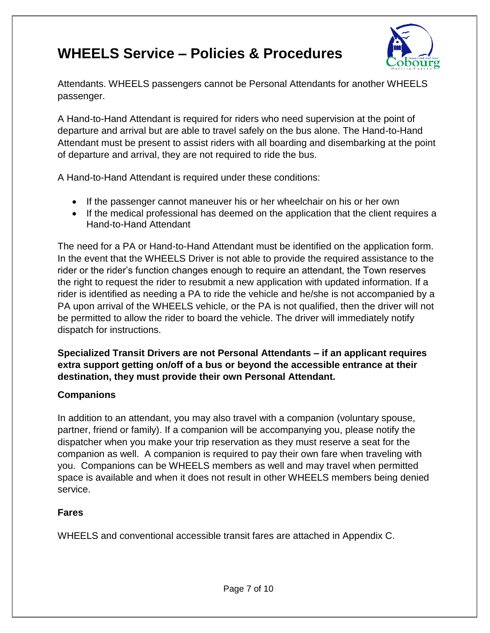

Attendants. WHEELS passengers cannot be Personal Attendants for another WHEELS passenger.

A Hand-to-Hand Attendant is required for riders who need supervision at the point of departure and arrival but are able to travel safely on the bus alone. The Hand-to-Hand Attendant must be present to assist riders with all boarding and disembarking at the point of departure and arrival, they are not required to ride the bus.

A Hand-to-Hand Attendant is required under these conditions:

- If the passenger cannot maneuver his or her wheelchair on his or her own
- If the medical professional has deemed on the application that the client requires a Hand-to-Hand Attendant

The need for a PA or Hand-to-Hand Attendant must be identified on the application form. In the event that the WHEELS Driver is not able to provide the required assistance to the rider or the rider's function changes enough to require an attendant, the Town reserves the right to request the rider to resubmit a new application with updated information. If a rider is identified as needing a PA to ride the vehicle and he/she is not accompanied by a PA upon arrival of the WHEELS vehicle, or the PA is not qualified, then the driver will not be permitted to allow the rider to board the vehicle. The driver will immediately notify dispatch for instructions.

**Specialized Transit Drivers are not Personal Attendants – if an applicant requires extra support getting on/off of a bus or beyond the accessible entrance at their destination, they must provide their own Personal Attendant.** 

#### <span id="page-7-0"></span>**Companions**

In addition to an attendant, you may also travel with a companion (voluntary spouse, partner, friend or family). If a companion will be accompanying you, please notify the dispatcher when you make your trip reservation as they must reserve a seat for the companion as well. A companion is required to pay their own fare when traveling with you. Companions can be WHEELS members as well and may travel when permitted space is available and when it does not result in other WHEELS members being denied service.

#### <span id="page-7-1"></span>**Fares**

WHEELS and conventional accessible transit fares are attached in Appendix C.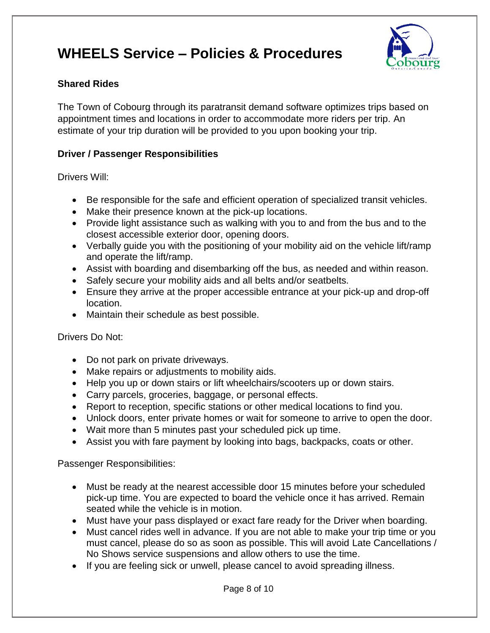

#### <span id="page-8-0"></span>**Shared Rides**

The Town of Cobourg through its paratransit demand software optimizes trips based on appointment times and locations in order to accommodate more riders per trip. An estimate of your trip duration will be provided to you upon booking your trip.

#### <span id="page-8-1"></span>**Driver / Passenger Responsibilities**

Drivers Will:

- Be responsible for the safe and efficient operation of specialized transit vehicles.
- Make their presence known at the pick-up locations.
- Provide light assistance such as walking with you to and from the bus and to the closest accessible exterior door, opening doors.
- Verbally guide you with the positioning of your mobility aid on the vehicle lift/ramp and operate the lift/ramp.
- Assist with boarding and disembarking off the bus, as needed and within reason.
- Safely secure your mobility aids and all belts and/or seatbelts.
- Ensure they arrive at the proper accessible entrance at your pick-up and drop-off location.
- Maintain their schedule as best possible.

#### Drivers Do Not:

- Do not park on private driveways.
- Make repairs or adjustments to mobility aids.
- Help you up or down stairs or lift wheelchairs/scooters up or down stairs.
- Carry parcels, groceries, baggage, or personal effects.
- Report to reception, specific stations or other medical locations to find you.
- Unlock doors, enter private homes or wait for someone to arrive to open the door.
- Wait more than 5 minutes past your scheduled pick up time.
- Assist you with fare payment by looking into bags, backpacks, coats or other.

Passenger Responsibilities:

- Must be ready at the nearest accessible door 15 minutes before your scheduled pick-up time. You are expected to board the vehicle once it has arrived. Remain seated while the vehicle is in motion.
- Must have your pass displayed or exact fare ready for the Driver when boarding.
- Must cancel rides well in advance. If you are not able to make your trip time or you must cancel, please do so as soon as possible. This will avoid Late Cancellations / No Shows service suspensions and allow others to use the time.
- If you are feeling sick or unwell, please cancel to avoid spreading illness.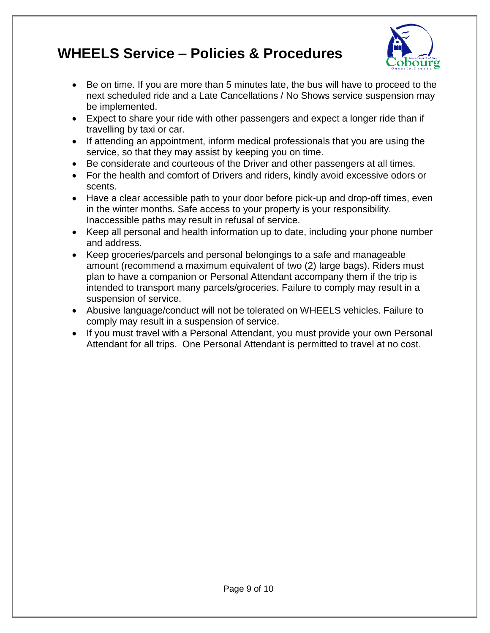

- Be on time. If you are more than 5 minutes late, the bus will have to proceed to the next scheduled ride and a Late Cancellations / No Shows service suspension may be implemented.
- Expect to share your ride with other passengers and expect a longer ride than if travelling by taxi or car.
- If attending an appointment, inform medical professionals that you are using the service, so that they may assist by keeping you on time.
- Be considerate and courteous of the Driver and other passengers at all times.
- For the health and comfort of Drivers and riders, kindly avoid excessive odors or scents.
- Have a clear accessible path to your door before pick-up and drop-off times, even in the winter months. Safe access to your property is your responsibility. Inaccessible paths may result in refusal of service.
- Keep all personal and health information up to date, including your phone number and address.
- Keep groceries/parcels and personal belongings to a safe and manageable amount (recommend a maximum equivalent of two (2) large bags). Riders must plan to have a companion or Personal Attendant accompany them if the trip is intended to transport many parcels/groceries. Failure to comply may result in a suspension of service.
- Abusive language/conduct will not be tolerated on WHEELS vehicles. Failure to comply may result in a suspension of service.
- If you must travel with a Personal Attendant, you must provide your own Personal Attendant for all trips. One Personal Attendant is permitted to travel at no cost.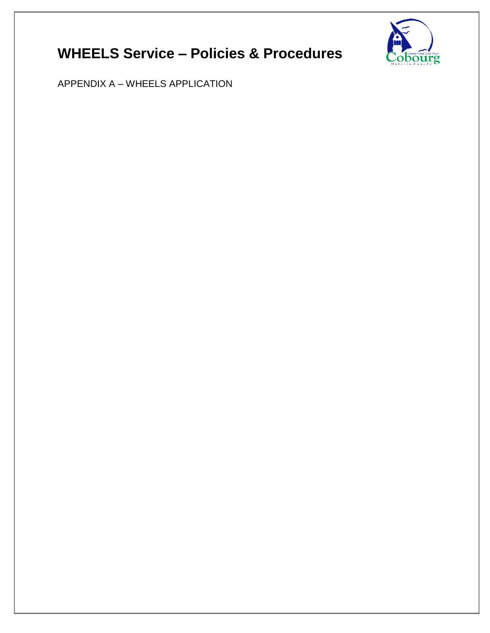

APPENDIX A – WHEELS APPLICATION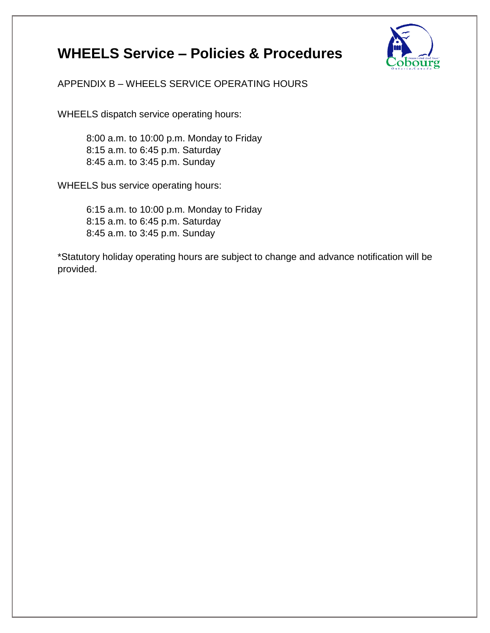

APPENDIX B – WHEELS SERVICE OPERATING HOURS

WHEELS dispatch service operating hours:

8:00 a.m. to 10:00 p.m. Monday to Friday 8:15 a.m. to 6:45 p.m. Saturday 8:45 a.m. to 3:45 p.m. Sunday

WHEELS bus service operating hours:

6:15 a.m. to 10:00 p.m. Monday to Friday 8:15 a.m. to 6:45 p.m. Saturday 8:45 a.m. to 3:45 p.m. Sunday

\*Statutory holiday operating hours are subject to change and advance notification will be provided.